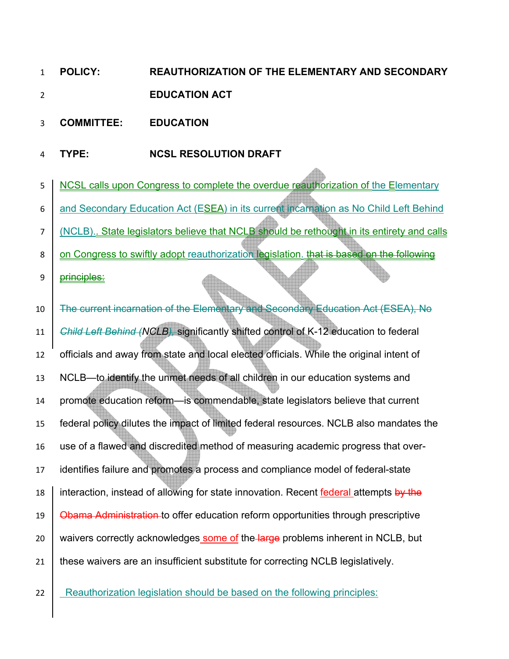- **POLICY: REAUTHORIZATION OF THE ELEMENTARY AND SECONDARY EDUCATION ACT**
- **COMMITTEE: EDUCATION**
- **TYPE: NCSL RESOLUTION DRAFT**
- 5 | NCSL calls upon Congress to complete the overdue reauthorization of the Elementary 6  $\vert$  and Secondary Education Act (ESEA) in its current incarnation as No Child Left Behind (NCLB).. State legislators believe that NCLB should be rethought in its entirety and calls  $8 \mid$  on Congress to swiftly adopt reauthorization legislation. that is based on the following 9 <del>principles:</del> The current incarnation of the Elementary and Secondary Education Act (ESEA), No *Child Left Behind (NCLB),* significantly shifted control of K-12 education to federal officials and away from state and local elected officials. While the original intent of NCLB—to identify the unmet needs of all children in our education systems and promote education reform—is commendable, state legislators believe that current federal policy dilutes the impact of limited federal resources. NCLB also mandates the use of a flawed and discredited method of measuring academic progress that over-identifies failure and promotes a process and compliance model of federal-state 18 interaction, instead of allowing for state innovation. Recent federal attempts by the **Obama Administration** to offer education reform opportunities through prescriptive 20 waivers correctly acknowledges some of the large problems inherent in NCLB, but 21 these waivers are an insufficient substitute for correcting NCLB legislatively.
- **Reauthorization legislation should be based on the following principles:**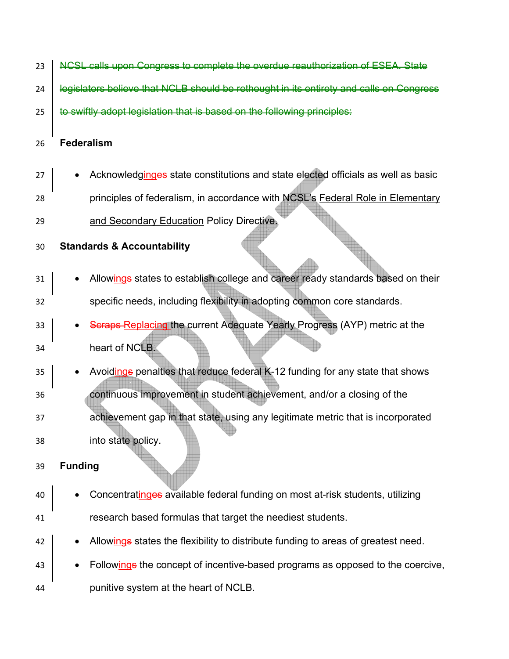| 23 | NCSL calls upon Congress to complete the overdue reauthorization of ESEA. State         |
|----|-----------------------------------------------------------------------------------------|
| 24 | legislators believe that NCLB should be rethought in its entirety and calls on Congress |
| 25 | swiftly adopt legislation that is based on the following principles:                    |
| 26 | <b>Federalism</b>                                                                       |
| 27 | Acknowledginges state constitutions and state elected officials as well as basic        |
| 28 | principles of federalism, in accordance with NCSL's Federal Role in Elementary          |
| 29 | and Secondary Education Policy Directive.                                               |
| 30 | <b>Standards &amp; Accountability</b>                                                   |
| 31 | Allowings states to establish college and career ready standards based on their         |
| 32 | specific needs, including flexibility in adopting common core standards.                |
| 33 | Scraps Replacing the current Adequate Yearly Progress (AYP) metric at the               |
| 34 | heart of NCLB.                                                                          |
| 35 | Avoidings penalties that reduce federal K-12 funding for any state that shows           |
| 36 | continuous improvement in student achievement, and/or a closing of the                  |
| 37 | achievement gap in that state, using any legitimate metric that is incorporated         |
| 38 | into state policy.                                                                      |
| 39 | <b>Funding</b>                                                                          |
| 40 | Concentratinges available federal funding on most at-risk students, utilizing           |
| 41 | research based formulas that target the neediest students.                              |
| 42 | Allowings states the flexibility to distribute funding to areas of greatest need.       |
| 43 | Followings the concept of incentive-based programs as opposed to the coercive,          |
| 44 | punitive system at the heart of NCLB.                                                   |